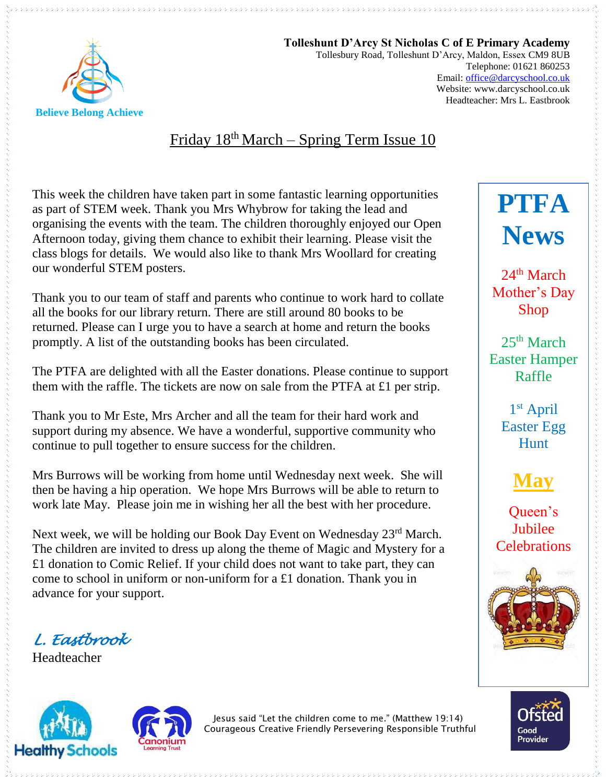

**Tolleshunt D'Arcy St Nicholas C of E Primary Academy** Tollesbury Road, Tolleshunt D'Arcy, Maldon, Essex CM9 8UB Telephone: 01621 860253 Email[: office@darcyschool.co.uk](mailto:office@darcyschool.co.uk) Website: www.darcyschool.co.uk Headteacher: Mrs L. Eastbrook

## Friday 18<sup>th</sup> March – Spring Term Issue 10

This week the children have taken part in some fantastic learning opportunities as part of STEM week. Thank you Mrs Whybrow for taking the lead and organising the events with the team. The children thoroughly enjoyed our Open Afternoon today, giving them chance to exhibit their learning. Please visit the class blogs for details. We would also like to thank Mrs Woollard for creating our wonderful STEM posters.

Thank you to our team of staff and parents who continue to work hard to collate all the books for our library return. There are still around 80 books to be returned. Please can I urge you to have a search at home and return the books promptly. A list of the outstanding books has been circulated.

The PTFA are delighted with all the Easter donations. Please continue to support them with the raffle. The tickets are now on sale from the PTFA at £1 per strip.

Thank you to Mr Este, Mrs Archer and all the team for their hard work and support during my absence. We have a wonderful, supportive community who continue to pull together to ensure success for the children.

Mrs Burrows will be working from home until Wednesday next week. She will then be having a hip operation. We hope Mrs Burrows will be able to return to work late May. Please join me in wishing her all the best with her procedure.

Next week, we will be holding our Book Day Event on Wednesday 23rd March. The children are invited to dress up along the theme of Magic and Mystery for a £1 donation to Comic Relief. If your child does not want to take part, they can come to school in uniform or non-uniform for a £1 donation. Thank you in advance for your support.

*L. Eastbrook*  Headteacher





Jesus said "Let the children come to me." (Matthew 19:14) Courageous Creative Friendly Persevering Responsible Truthful

# **PTFA News**

 $24<sup>th</sup>$  March Mother's Day Shop

25th March Easter Hamper Raffle

> 1 st April Easter Egg Hunt



Queen's Jubilee **Celebrations**